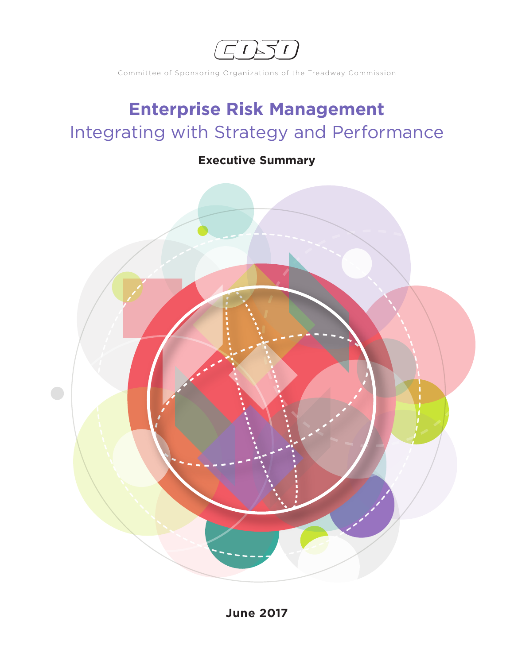EDSD

Committee of Sponsoring Organizations of the Treadway Commission

# **Enterprise Risk Management** Integrating with Strategy and Performance

# **Executive Summary**

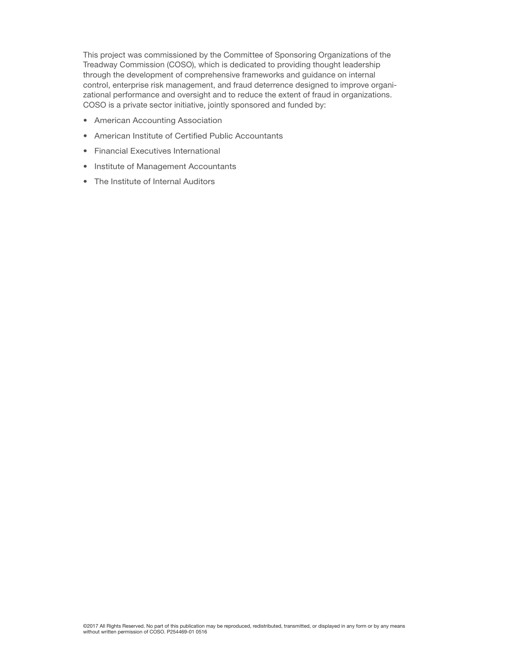This project was commissioned by the Committee of Sponsoring Organizations of the Treadway Commission (COSO), which is dedicated to providing thought leadership through the development of comprehensive frameworks and guidance on internal control, enterprise risk management, and fraud deterrence designed to improve organizational performance and oversight and to reduce the extent of fraud in organizations. COSO is a private sector initiative, jointly sponsored and funded by:

- American Accounting Association
- American Institute of Certified Public Accountants
- Financial Executives International
- Institute of Management Accountants
- The Institute of Internal Auditors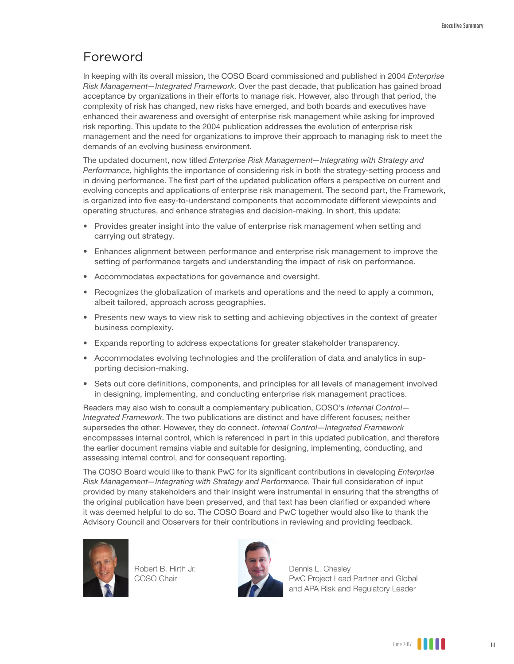# Foreword

In keeping with its overall mission, the COSO Board commissioned and published in 2004 *Enterprise Risk Management—Integrated Framework*. Over the past decade, that publication has gained broad acceptance by organizations in their efforts to manage risk. However, also through that period, the complexity of risk has changed, new risks have emerged, and both boards and executives have enhanced their awareness and oversight of enterprise risk management while asking for improved risk reporting. This update to the 2004 publication addresses the evolution of enterprise risk management and the need for organizations to improve their approach to managing risk to meet the demands of an evolving business environment.

The updated document, now titled *Enterprise Risk Management—Integrating with Strategy and Performance*, highlights the importance of considering risk in both the strategy-setting process and in driving performance. The first part of the updated publication offers a perspective on current and evolving concepts and applications of enterprise risk management. The second part, the Framework, is organized into five easy-to-understand components that accommodate different viewpoints and operating structures, and enhance strategies and decision-making. In short, this update:

- Provides greater insight into the value of enterprise risk management when setting and carrying out strategy.
- Enhances alignment between performance and enterprise risk management to improve the setting of performance targets and understanding the impact of risk on performance.
- Accommodates expectations for governance and oversight.
- Recognizes the globalization of markets and operations and the need to apply a common, albeit tailored, approach across geographies.
- Presents new ways to view risk to setting and achieving objectives in the context of greater business complexity.
- Expands reporting to address expectations for greater stakeholder transparency.
- Accommodates evolving technologies and the proliferation of data and analytics in supporting decision-making.
- Sets out core definitions, components, and principles for all levels of management involved in designing, implementing, and conducting enterprise risk management practices.

Readers may also wish to consult a complementary publication, COSO's *Internal Control— Integrated Framework*. The two publications are distinct and have different focuses; neither supersedes the other. However, they do connect. *Internal Control—Integrated Framework* encompasses internal control, which is referenced in part in this updated publication, and therefore the earlier document remains viable and suitable for designing, implementing, conducting, and assessing internal control, and for consequent reporting.

The COSO Board would like to thank PwC for its significant contributions in developing *Enterprise Risk Management—Integrating with Strategy and Performance*. Their full consideration of input provided by many stakeholders and their insight were instrumental in ensuring that the strengths of the original publication have been preserved, and that text has been clarified or expanded where it was deemed helpful to do so. The COSO Board and PwC together would also like to thank the Advisory Council and Observers for their contributions in reviewing and providing feedback.



Robert B. Hirth Jr. COSO Chair



Dennis L. Chesley PwC Project Lead Partner and Global and APA Risk and Regulatory Leader

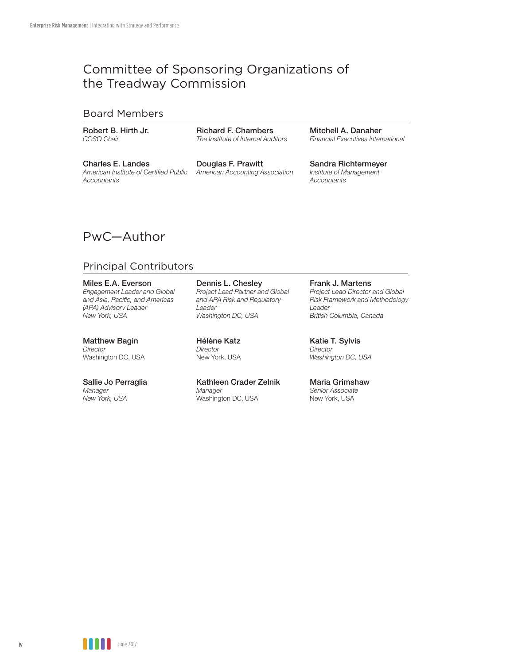# Committee of Sponsoring Organizations of the Treadway Commission

#### Board Members

Robert B. Hirth Jr. *COSO Chair*

Richard F. Chambers *The Institute of Internal Auditors*

Charles E. Landes *American Institute of Certified Public Accountants*

Douglas F. Prawitt *American Accounting Association*

Mitchell A. Danaher *Financial Executives International*

Sandra Richtermeyer *Institute of Management Accountants*

# PwC—Author

### Principal Contributors

Miles E.A. Everson *Engagement Leader and Global and Asia, Pacific, and Americas (APA) Advisory Leader New York, USA*

Matthew Bagin *Director*  Washington DC, USA

Sallie Jo Perraglia *Manager New York, USA* 

Dennis L. Chesley *Project Lead Partner and Global and APA Risk and Regulatory Leader Washington DC, USA* 

Hélène Katz *Director*  New York, USA

Kathleen Crader Zelnik *Manager* Washington DC, USA

#### Frank J. Martens

*Project Lead Director and Global Risk Framework and Methodology Leader British Columbia, Canada*

Katie T. Sylvis *Director Washington DC, USA*

Maria Grimshaw *Senior Associate*  New York, USA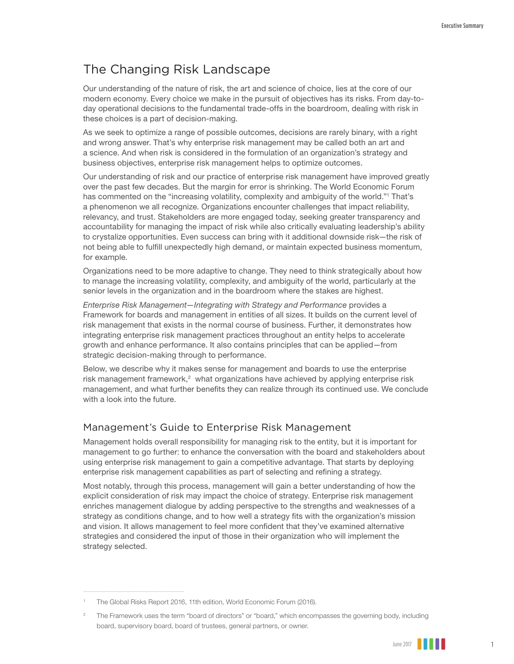## The Changing Risk Landscape

Our understanding of the nature of risk, the art and science of choice, lies at the core of our modern economy. Every choice we make in the pursuit of objectives has its risks. From day-today operational decisions to the fundamental trade-offs in the boardroom, dealing with risk in these choices is a part of decision-making.

As we seek to optimize a range of possible outcomes, decisions are rarely binary, with a right and wrong answer. That's why enterprise risk management may be called both an art and a science. And when risk is considered in the formulation of an organization's strategy and business objectives, enterprise risk management helps to optimize outcomes.

Our understanding of risk and our practice of enterprise risk management have improved greatly over the past few decades. But the margin for error is shrinking. The World Economic Forum has commented on the "increasing volatility, complexity and ambiguity of the world."<sup>1</sup> That's a phenomenon we all recognize. Organizations encounter challenges that impact reliability, relevancy, and trust. Stakeholders are more engaged today, seeking greater transparency and accountability for managing the impact of risk while also critically evaluating leadership's ability to crystalize opportunities. Even success can bring with it additional downside risk—the risk of not being able to fulfill unexpectedly high demand, or maintain expected business momentum, for example.

Organizations need to be more adaptive to change. They need to think strategically about how to manage the increasing volatility, complexity, and ambiguity of the world, particularly at the senior levels in the organization and in the boardroom where the stakes are highest.

*Enterprise Risk Management—Integrating with Strategy and Performance* provides a Framework for boards and management in entities of all sizes. It builds on the current level of risk management that exists in the normal course of business. Further, it demonstrates how integrating enterprise risk management practices throughout an entity helps to accelerate growth and enhance performance. It also contains principles that can be applied—from strategic decision-making through to performance.

Below, we describe why it makes sense for management and boards to use the enterprise risk management framework, $2$  what organizations have achieved by applying enterprise risk management, and what further benefits they can realize through its continued use. We conclude with a look into the future.

#### Management's Guide to Enterprise Risk Management

Management holds overall responsibility for managing risk to the entity, but it is important for management to go further: to enhance the conversation with the board and stakeholders about using enterprise risk management to gain a competitive advantage. That starts by deploying enterprise risk management capabilities as part of selecting and refining a strategy.

Most notably, through this process, management will gain a better understanding of how the explicit consideration of risk may impact the choice of strategy. Enterprise risk management enriches management dialogue by adding perspective to the strengths and weaknesses of a strategy as conditions change, and to how well a strategy fits with the organization's mission and vision. It allows management to feel more confident that they've examined alternative strategies and considered the input of those in their organization who will implement the strategy selected.

<sup>2</sup> The Framework uses the term "board of directors" or "board," which encompasses the governing body, including board, supervisory board, board of trustees, general partners, or owner.



<sup>1</sup> The Global Risks Report 2016, 11th edition, World Economic Forum (2016).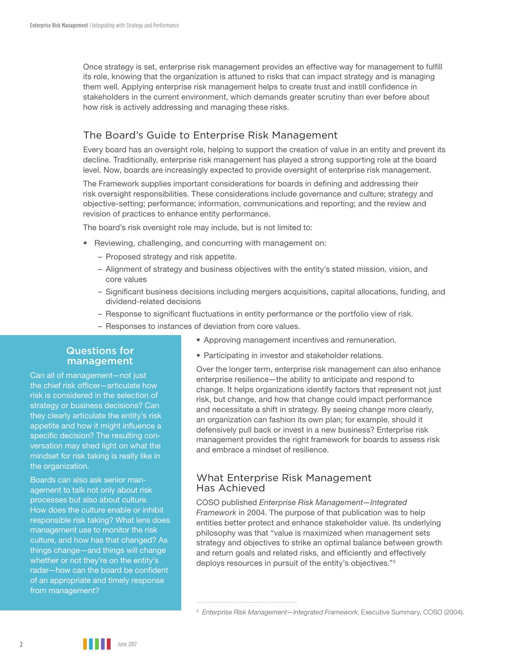Once strategy is set, enterprise risk management provides an effective way for management to fulfill its role, knowing that the organization is attuned to risks that can impact strategy and is managing them well. Applying enterprise risk management helps to create trust and instill confidence in stakeholders in the current environment, which demands greater scrutiny than ever before about how risk is actively addressing and managing these risks.

### The Board's Guide to Enterprise Risk Management

Every board has an oversight role, helping to support the creation of value in an entity and prevent its decline. Traditionally, enterprise risk management has played a strong supporting role at the board level. Now, boards are increasingly expected to provide oversight of enterprise risk management.

The Framework supplies important considerations for boards in defining and addressing their risk oversight responsibilities. These considerations include governance and culture; strategy and objective-setting; performance; information, communications and reporting; and the review and revision of practices to enhance entity performance.

The board's risk oversight role may include, but is not limited to:

- Reviewing, challenging, and concurring with management on:
	- Proposed strategy and risk appetite.
	- Alignment of strategy and business objectives with the entity's stated mission, vision, and core values
	- Significant business decisions including mergers acquisitions, capital allocations, funding, and dividend-related decisions
	- Response to significant fluctuations in entity performance or the portfolio view of risk.
	- Responses to instances of deviation from core values.
		- Approving management incentives and remuneration.

#### Questions for management

Can all of management—not just the chief risk officer—articulate how risk is considered in the selection of strategy or business decisions? Can they clearly articulate the entity's risk appetite and how it might influence a specific decision? The resulting conversation may shed light on what the mindset for risk taking is really like in the organization.

Boards can also ask senior management to talk not only about risk processes but also about culture. How does the culture enable or inhibit responsible risk taking? What lens does management use to monitor the risk culture, and how has that changed? As things change—and things will change whether or not they're on the entity's radar—how can the board be confident of an appropriate and timely response from management?

• Participating in investor and stakeholder relations.

Over the longer term, enterprise risk management can also enhance enterprise resilience—the ability to anticipate and respond to change. It helps organizations identify factors that represent not just risk, but change, and how that change could impact performance and necessitate a shift in strategy. By seeing change more clearly, an organization can fashion its own plan; for example, should it defensively pull back or invest in a new business? Enterprise risk management provides the right framework for boards to assess risk and embrace a mindset of resilience.

#### What Enterprise Risk Management Has Achieved

COSO published *Enterprise Risk Management—Integrated Framework* in 2004. The purpose of that publication was to help entities better protect and enhance stakeholder value. Its underlying philosophy was that "value is maximized when management sets strategy and objectives to strike an optimal balance between growth and return goals and related risks, and efficiently and effectively deploys resources in pursuit of the entity's objectives."<sup>3</sup>

<sup>3</sup> *Enterprise Risk Management—Integrated Framework*, Executive Summary, COSO (2004).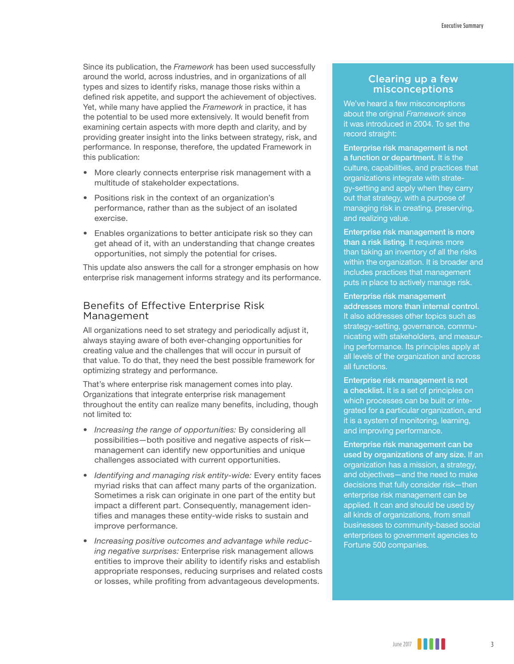Since its publication, the *Framework* has been used successfully around the world, across industries, and in organizations of all types and sizes to identify risks, manage those risks within a defined risk appetite, and support the achievement of objectives. Yet, while many have applied the *Framework* in practice, it has the potential to be used more extensively. It would benefit from examining certain aspects with more depth and clarity, and by providing greater insight into the links between strategy, risk, and performance. In response, therefore, the updated Framework in this publication:

- More clearly connects enterprise risk management with a multitude of stakeholder expectations.
- Positions risk in the context of an organization's performance, rather than as the subject of an isolated exercise.
- Enables organizations to better anticipate risk so they can get ahead of it, with an understanding that change creates opportunities, not simply the potential for crises.

This update also answers the call for a stronger emphasis on how enterprise risk management informs strategy and its performance.

### Benefits of Effective Enterprise Risk Management

All organizations need to set strategy and periodically adjust it, always staying aware of both ever-changing opportunities for creating value and the challenges that will occur in pursuit of that value. To do that, they need the best possible framework for optimizing strategy and performance.

That's where enterprise risk management comes into play. Organizations that integrate enterprise risk management throughout the entity can realize many benefits, including, though not limited to:

- *• Increasing the range of opportunities:* By considering all possibilities—both positive and negative aspects of risk management can identify new opportunities and unique challenges associated with current opportunities.
- *Identifying and managing risk entity-wide:* Every entity faces myriad risks that can affect many parts of the organization. Sometimes a risk can originate in one part of the entity but impact a different part. Consequently, management identifies and manages these entity-wide risks to sustain and improve performance.
- *• Increasing positive outcomes and advantage while reducing negative surprises:* Enterprise risk management allows entities to improve their ability to identify risks and establish appropriate responses, reducing surprises and related costs or losses, while profiting from advantageous developments.

### Clearing up a few misconceptions

We've heard a few misconceptions about the original *Framework* since it was introduced in 2004. To set the record straight:

Enterprise risk management is not a function or department. It is the culture, capabilities, and practices that organizations integrate with strategy-setting and apply when they carry out that strategy, with a purpose of managing risk in creating, preserving, and realizing value.

Enterprise risk management is more than a risk listing. It requires more than taking an inventory of all the risks within the organization. It is broader and includes practices that management puts in place to actively manage risk.

#### Enterprise risk management

addresses more than internal control. It also addresses other topics such as strategy-setting, governance, communicating with stakeholders, and measuring performance. Its principles apply at all levels of the organization and across all functions.

Enterprise risk management is not a checklist. It is a set of principles on which processes can be built or integrated for a particular organization, and it is a system of monitoring, learning, and improving performance.

Enterprise risk management can be used by organizations of any size. If an organization has a mission, a strategy, and objectives—and the need to make decisions that fully consider risk—then enterprise risk management can be applied. It can and should be used by all kinds of organizations, from small businesses to community-based social enterprises to government agencies to Fortune 500 companies.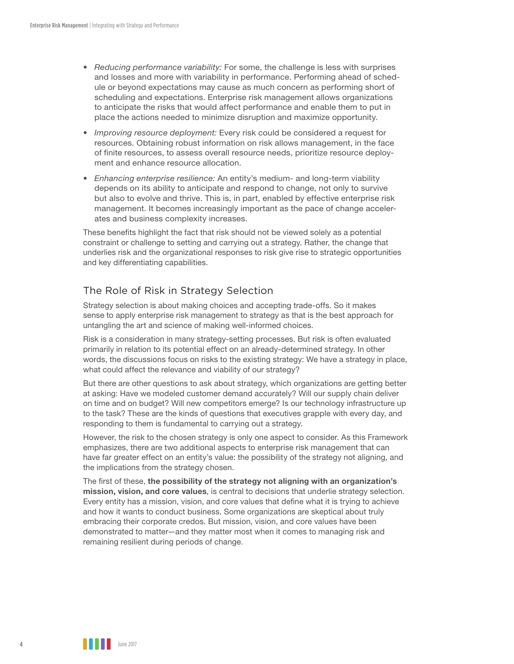- *• Reducing performance variability:* For some, the challenge is less with surprises and losses and more with variability in performance. Performing ahead of schedule or beyond expectations may cause as much concern as performing short of scheduling and expectations. Enterprise risk management allows organizations to anticipate the risks that would affect performance and enable them to put in place the actions needed to minimize disruption and maximize opportunity.
- *• Improving resource deployment:* Every risk could be considered a request for resources. Obtaining robust information on risk allows management, in the face of finite resources, to assess overall resource needs, prioritize resource deployment and enhance resource allocation.
- *• Enhancing enterprise resilience:* An entity's medium- and long-term viability depends on its ability to anticipate and respond to change, not only to survive but also to evolve and thrive. This is, in part, enabled by effective enterprise risk management. It becomes increasingly important as the pace of change accelerates and business complexity increases.

These benefits highlight the fact that risk should not be viewed solely as a potential constraint or challenge to setting and carrying out a strategy. Rather, the change that underlies risk and the organizational responses to risk give rise to strategic opportunities and key differentiating capabilities.

### The Role of Risk in Strategy Selection

Strategy selection is about making choices and accepting trade-offs. So it makes sense to apply enterprise risk management to strategy as that is the best approach for untangling the art and science of making well-informed choices.

Risk is a consideration in many strategy-setting processes. But risk is often evaluated primarily in relation to its potential effect on an already-determined strategy. In other words, the discussions focus on risks to the existing strategy: We have a strategy in place, what could affect the relevance and viability of our strategy?

But there are other questions to ask about strategy, which organizations are getting better at asking: Have we modeled customer demand accurately? Will our supply chain deliver on time and on budget? Will new competitors emerge? Is our technology infrastructure up to the task? These are the kinds of questions that executives grapple with every day, and responding to them is fundamental to carrying out a strategy.

However, the risk to the chosen strategy is only one aspect to consider. As this Framework emphasizes, there are two additional aspects to enterprise risk management that can have far greater effect on an entity's value: the possibility of the strategy not aligning, and the implications from the strategy chosen.

The first of these, **the possibility of the strategy not aligning with an organization's mission, vision, and core values**, is central to decisions that underlie strategy selection. Every entity has a mission, vision, and core values that define what it is trying to achieve and how it wants to conduct business. Some organizations are skeptical about truly embracing their corporate credos. But mission, vision, and core values have been demonstrated to matter—and they matter most when it comes to managing risk and remaining resilient during periods of change.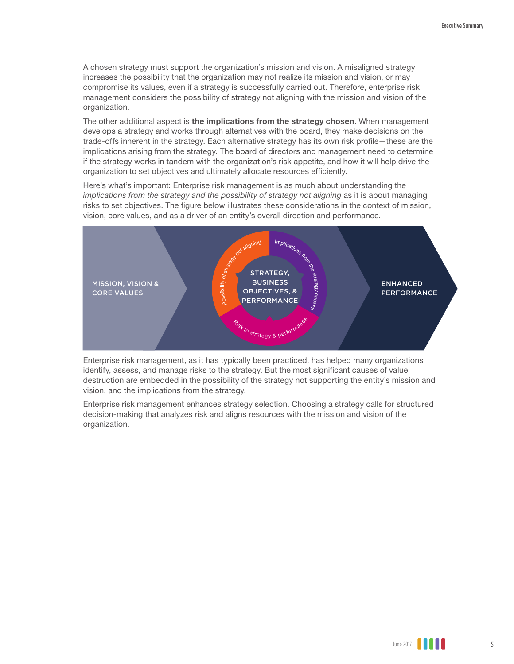A chosen strategy must support the organization's mission and vision. A misaligned strategy increases the possibility that the organization may not realize its mission and vision, or may compromise its values, even if a strategy is successfully carried out. Therefore, enterprise risk management considers the possibility of strategy not aligning with the mission and vision of the organization.

The other additional aspect is **the implications from the strategy chosen**. When management develops a strategy and works through alternatives with the board, they make decisions on the trade-offs inherent in the strategy. Each alternative strategy has its own risk profile—these are the implications arising from the strategy. The board of directors and management need to determine if the strategy works in tandem with the organization's risk appetite, and how it will help drive the organization to set objectives and ultimately allocate resources efficiently.

Here's what's important: Enterprise risk management is as much about understanding the *implications from the strategy and the possibility of strategy not aligning* as it is about managing risks to set objectives. The figure below illustrates these considerations in the context of mission, vision, core values, and as a driver of an entity's overall direction and performance.



Enterprise risk management, as it has typically been practiced, has helped many organizations identify, assess, and manage risks to the strategy. But the most significant causes of value destruction are embedded in the possibility of the strategy not supporting the entity's mission and vision, and the implications from the strategy.

Enterprise risk management enhances strategy selection. Choosing a strategy calls for structured decision-making that analyzes risk and aligns resources with the mission and vision of the organization.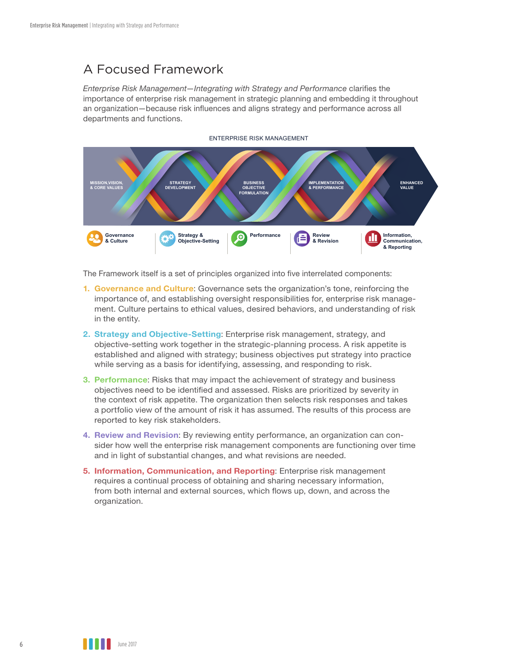# A Focused Framework

*Enterprise Risk Management—Integrating with Strategy and Performance* clarifies the importance of enterprise risk management in strategic planning and embedding it throughout an organization—because risk influences and aligns strategy and performance across all departments and functions.



ENTERPRISE RISK MANAGEMENT

The Framework itself is a set of principles organized into five interrelated components:

- **1. Governance and Culture**: Governance sets the organization's tone, reinforcing the importance of, and establishing oversight responsibilities for, enterprise risk management. Culture pertains to ethical values, desired behaviors, and understanding of risk in the entity.
- **2. Strategy and Objective-Setting**: Enterprise risk management, strategy, and objective-setting work together in the strategic-planning process. A risk appetite is established and aligned with strategy; business objectives put strategy into practice while serving as a basis for identifying, assessing, and responding to risk.
- **3. Performance**: Risks that may impact the achievement of strategy and business objectives need to be identified and assessed. Risks are prioritized by severity in the context of risk appetite. The organization then selects risk responses and takes a portfolio view of the amount of risk it has assumed. The results of this process are reported to key risk stakeholders.
- **4. Review and Revision**: By reviewing entity performance, an organization can consider how well the enterprise risk management components are functioning over time and in light of substantial changes, and what revisions are needed.
- **5. Information, Communication, and Reporting**: Enterprise risk management requires a continual process of obtaining and sharing necessary information, from both internal and external sources, which flows up, down, and across the organization.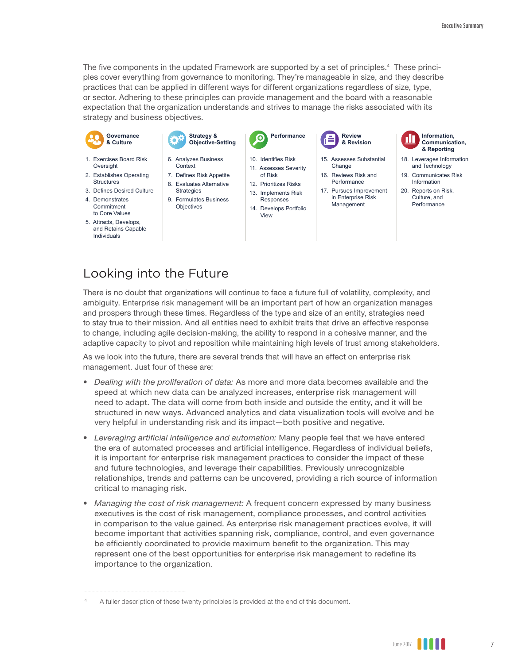The five components in the updated Framework are supported by a set of principles.<sup>4</sup> These principles cover everything from governance to monitoring. They're manageable in size, and they describe practices that can be applied in different ways for different organizations regardless of size, type, or sector. Adhering to these principles can provide management and the board with a reasonable expectation that the organization understands and strives to manage the risks associated with its strategy and business objectives.



- Commitment to Core Values
- 5. Attracts, Develops, and Retains Capable Individuals
- 9. Formulates Business **Objectives**
- Responses
- 14. Develops Portfolio View
- Management



- and Technology
- 
- **Performance**

## Looking into the Future

There is no doubt that organizations will continue to face a future full of volatility, complexity, and ambiguity. Enterprise risk management will be an important part of how an organization manages and prospers through these times. Regardless of the type and size of an entity, strategies need to stay true to their mission. And all entities need to exhibit traits that drive an effective response to change, including agile decision-making, the ability to respond in a cohesive manner, and the adaptive capacity to pivot and reposition while maintaining high levels of trust among stakeholders.

As we look into the future, there are several trends that will have an effect on enterprise risk management. Just four of these are:

- *• Dealing with the proliferation of data:* As more and more data becomes available and the speed at which new data can be analyzed increases, enterprise risk management will need to adapt. The data will come from both inside and outside the entity, and it will be structured in new ways. Advanced analytics and data visualization tools will evolve and be very helpful in understanding risk and its impact—both positive and negative.
- *• Leveraging artificial intelligence and automation:* Many people feel that we have entered the era of automated processes and artificial intelligence. Regardless of individual beliefs, it is important for enterprise risk management practices to consider the impact of these and future technologies, and leverage their capabilities. Previously unrecognizable relationships, trends and patterns can be uncovered, providing a rich source of information critical to managing risk.
- *• Managing the cost of risk management:* A frequent concern expressed by many business executives is the cost of risk management, compliance processes, and control activities in comparison to the value gained. As enterprise risk management practices evolve, it will become important that activities spanning risk, compliance, control, and even governance be efficiently coordinated to provide maximum benefit to the organization. This may represent one of the best opportunities for enterprise risk management to redefine its importance to the organization.

<sup>4</sup> A fuller description of these twenty principles is provided at the end of this document.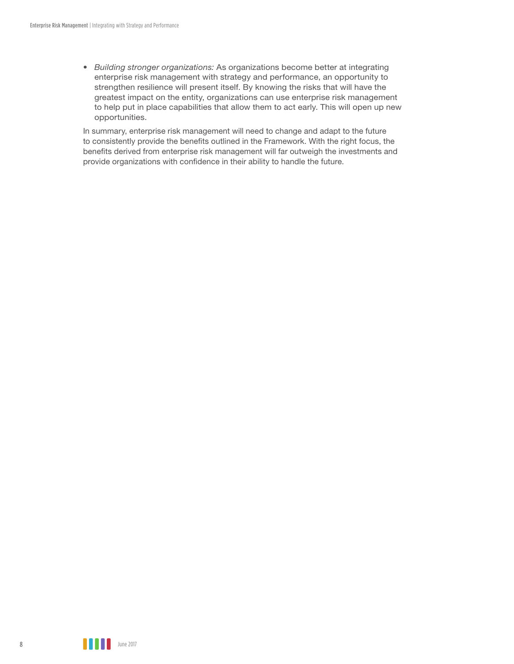*• Building stronger organizations:* As organizations become better at integrating enterprise risk management with strategy and performance, an opportunity to strengthen resilience will present itself. By knowing the risks that will have the greatest impact on the entity, organizations can use enterprise risk management to help put in place capabilities that allow them to act early. This will open up new opportunities.

In summary, enterprise risk management will need to change and adapt to the future to consistently provide the benefits outlined in the Framework. With the right focus, the benefits derived from enterprise risk management will far outweigh the investments and provide organizations with confidence in their ability to handle the future.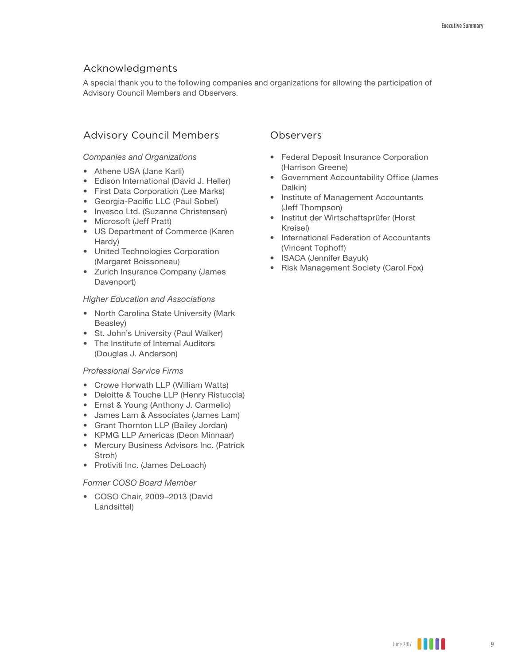### Acknowledgments

A special thank you to the following companies and organizations for allowing the participation of Advisory Council Members and Observers.

### Advisory Council Members

#### *Companies and Organizations*

- Athene USA (Jane Karli)
- Edison International (David J. Heller)
- First Data Corporation (Lee Marks)
- Georgia-Pacific LLC (Paul Sobel)
- Invesco Ltd. (Suzanne Christensen)
- Microsoft (Jeff Pratt)
- US Department of Commerce (Karen Hardy)
- United Technologies Corporation (Margaret Boissoneau)
- Zurich Insurance Company (James Davenport)

#### *Higher Education and Associations*

- North Carolina State University (Mark Beasley)
- St. John's University (Paul Walker)
- The Institute of Internal Auditors (Douglas J. Anderson)

#### *Professional Service Firms*

- Crowe Horwath LLP (William Watts)
- Deloitte & Touche LLP (Henry Ristuccia)
- Ernst & Young (Anthony J. Carmello)
- James Lam & Associates (James Lam)
- Grant Thornton LLP (Bailey Jordan)
- KPMG LLP Americas (Deon Minnaar)
- Mercury Business Advisors Inc. (Patrick Stroh)
- Protiviti Inc. (James DeLoach)

#### *Former COSO Board Member*

• COSO Chair, 2009–2013 (David Landsittel)

#### **Observers**

- Federal Deposit Insurance Corporation (Harrison Greene)
- Government Accountability Office (James Dalkin)
- Institute of Management Accountants (Jeff Thompson)
- Institut der Wirtschaftsprüfer (Horst Kreisel)
- International Federation of Accountants (Vincent Tophoff)
- ISACA (Jennifer Bayuk)
- Risk Management Society (Carol Fox)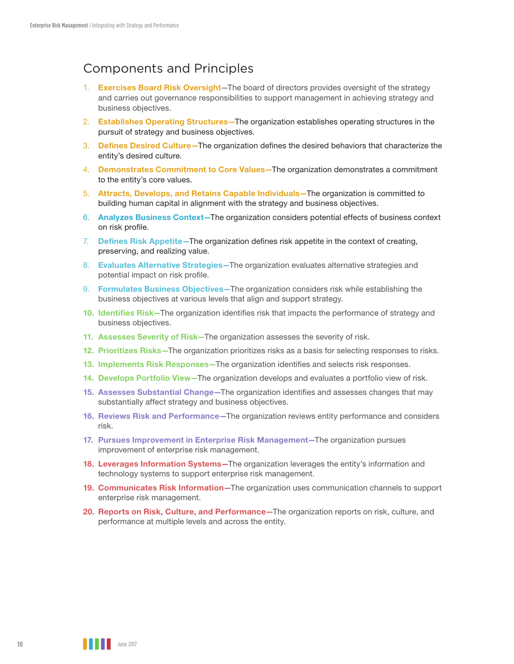# Components and Principles

- 1. **Exercises Board Risk Oversight**—The board of directors provides oversight of the strategy and carries out governance responsibilities to support management in achieving strategy and business objectives.
- 2. **Establishes Operating Structures—**The organization establishes operating structures in the pursuit of strategy and business objectives.
- 3. **Defines Desired Culture—**The organization defines the desired behaviors that characterize the entity's desired culture.
- 4. **Demonstrates Commitment to Core Values—**The organization demonstrates a commitment to the entity's core values.
- 5. **Attracts, Develops, and Retains Capable Individuals—**The organization is committed to building human capital in alignment with the strategy and business objectives.
- 6. **Analyzes Business Context—**The organization considers potential effects of business context on risk profile.
- 7. **Defines Risk Appetite—**The organization defines risk appetite in the context of creating, preserving, and realizing value.
- 8. **Evaluates Alternative Strategies—**The organization evaluates alternative strategies and potential impact on risk profile.
- 9. **Formulates Business Objectives—**The organization considers risk while establishing the business objectives at various levels that align and support strategy.
- **10. Identifies Risk—**The organization identifies risk that impacts the performance of strategy and business objectives.
- **11. Assesses Severity of Risk—**The organization assesses the severity of risk.
- **12. Prioritizes Risks—**The organization prioritizes risks as a basis for selecting responses to risks.
- **13. Implements Risk Responses—**The organization identifies and selects risk responses.
- **14. Develops Portfolio View—**The organization develops and evaluates a portfolio view of risk.
- **15. Assesses Substantial Change—**The organization identifies and assesses changes that may substantially affect strategy and business objectives.
- **16. Reviews Risk and Performance—**The organization reviews entity performance and considers risk.
- **17. Pursues Improvement in Enterprise Risk Management—**The organization pursues improvement of enterprise risk management.
- **18. Leverages Information Systems—**The organization leverages the entity's information and technology systems to support enterprise risk management.
- **19. Communicates Risk Information—**The organization uses communication channels to support enterprise risk management.
- **20. Reports on Risk, Culture, and Performance—**The organization reports on risk, culture, and performance at multiple levels and across the entity.